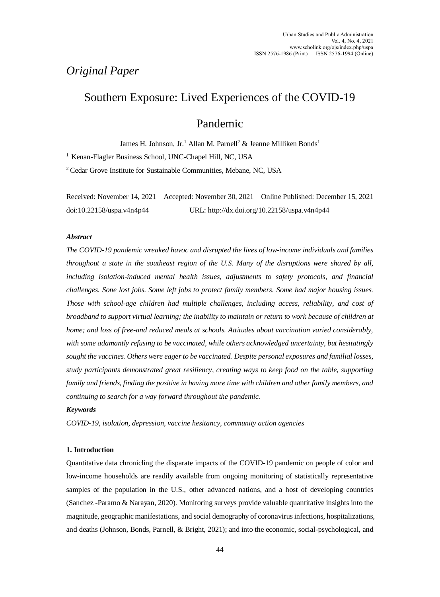# *Original Paper*

# Southern Exposure: Lived Experiences of the COVID-19

# Pandemic

James H. Johnson, Jr.<sup>1</sup> Allan M. Parnell<sup>2</sup> & Jeanne Milliken Bonds<sup>1</sup>

<sup>1</sup> Kenan-Flagler Business School, UNC-Chapel Hill, NC, USA

<sup>2</sup> Cedar Grove Institute for Sustainable Communities, Mebane, NC, USA

Received: November 14, 2021 Accepted: November 30, 2021 Online Published: December 15, 2021 doi:10.22158/uspa.v4n4p44 URL: http://dx.doi.org/10.22158/uspa.v4n4p44

#### *Abstract*

*The COVID-19 pandemic wreaked havoc and disrupted the lives of low-income individuals and families throughout a state in the southeast region of the U.S. Many of the disruptions were shared by all, including isolation-induced mental health issues, adjustments to safety protocols, and financial challenges. Sone lost jobs. Some left jobs to protect family members. Some had major housing issues. Those with school-age children had multiple challenges, including access, reliability, and cost of broadband to support virtual learning; the inability to maintain or return to work because of children at home; and loss of free-and reduced meals at schools. Attitudes about vaccination varied considerably, with some adamantly refusing to be vaccinated, while others acknowledged uncertainty, but hesitatingly sought the vaccines. Others were eager to be vaccinated. Despite personal exposures and familial losses, study participants demonstrated great resiliency, creating ways to keep food on the table, supporting family and friends, finding the positive in having more time with children and other family members, and continuing to search for a way forward throughout the pandemic.* 

### *Keywords*

*COVID-19, isolation, depression, vaccine hesitancy, community action agencies* 

### **1. Introduction**

Quantitative data chronicling the disparate impacts of the COVID-19 pandemic on people of color and low-income households are readily available from ongoing monitoring of statistically representative samples of the population in the U.S., other advanced nations, and a host of developing countries (Sanchez -Paramo & Narayan, 2020). Monitoring surveys provide valuable quantitative insights into the magnitude, geographic manifestations, and social demography of coronavirus infections, hospitalizations, and deaths (Johnson, Bonds, Parnell, & Bright, 2021); and into the economic, social-psychological, and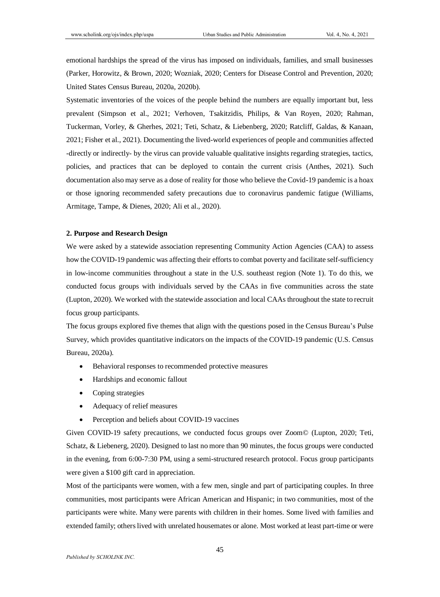emotional hardships the spread of the virus has imposed on individuals, families, and small businesses (Parker, Horowitz, & Brown, 2020; Wozniak, 2020; Centers for Disease Control and Prevention, 2020; United States Census Bureau, 2020a, 2020b).

Systematic inventories of the voices of the people behind the numbers are equally important but, less prevalent (Simpson et al., 2021; Verhoven, Tsakitzidis, Philips, & Van Royen, 2020; Rahman, Tuckerman, Vorley, & Gherhes, 2021; Teti, Schatz, & Liebenberg, 2020; Ratcliff, Galdas, & Kanaan, 2021; Fisher et al., 2021). Documenting the lived-world experiences of people and communities affected -directly or indirectly- by the virus can provide valuable qualitative insights regarding strategies, tactics, policies, and practices that can be deployed to contain the current crisis (Anthes, 2021). Such documentation also may serve as a dose of reality for those who believe the Covid-19 pandemic is a hoax or those ignoring recommended safety precautions due to coronavirus pandemic fatigue (Williams, Armitage, Tampe, & Dienes, 2020; Ali et al., 2020).

#### **2. Purpose and Research Design**

We were asked by a statewide association representing Community Action Agencies (CAA) to assess how the COVID-19 pandemic was affecting their efforts to combat poverty and facilitate self-sufficiency in low-income communities throughout a state in the U.S. southeast region (Note 1). To do this, we conducted focus groups with individuals served by the CAAs in five communities across the state (Lupton, 2020). We worked with the statewide association and local CAAs throughout the state to recruit focus group participants.

The focus groups explored five themes that align with the questions posed in the Census Bureau's Pulse Survey, which provides quantitative indicators on the impacts of the COVID-19 pandemic (U.S. Census Bureau, 2020a).

- Behavioral responses to recommended protective measures
- Hardships and economic fallout
- Coping strategies
- Adequacy of relief measures
- Perception and beliefs about COVID-19 vaccines

Given COVID-19 safety precautions, we conducted focus groups over Zoom© (Lupton, 2020; Teti, Schatz, & Liebenerg, 2020). Designed to last no more than 90 minutes, the focus groups were conducted in the evening, from 6:00-7:30 PM, using a semi-structured research protocol. Focus group participants were given a \$100 gift card in appreciation.

Most of the participants were women, with a few men, single and part of participating couples. In three communities, most participants were African American and Hispanic; in two communities, most of the participants were white. Many were parents with children in their homes. Some lived with families and extended family; others lived with unrelated housemates or alone. Most worked at least part-time or were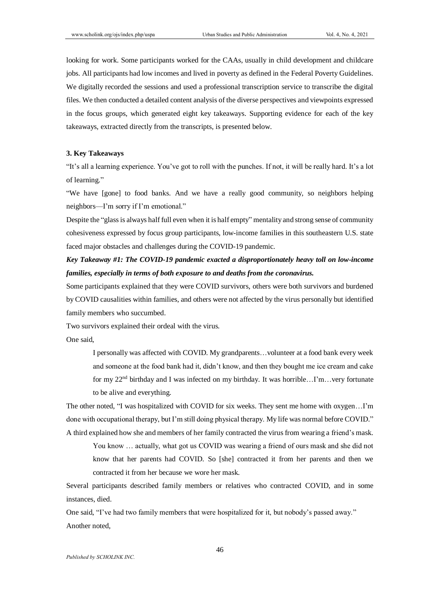looking for work. Some participants worked for the CAAs, usually in child development and childcare jobs. All participants had low incomes and lived in poverty as defined in the Federal Poverty Guidelines. We digitally recorded the sessions and used a professional transcription service to transcribe the digital files. We then conducted a detailed content analysis of the diverse perspectives and viewpoints expressed in the focus groups, which generated eight key takeaways. Supporting evidence for each of the key takeaways, extracted directly from the transcripts, is presented below.

#### **3. Key Takeaways**

"It's all a learning experience. You've got to roll with the punches. If not, it will be really hard. It's a lot of learning."

"We have [gone] to food banks. And we have a really good community, so neighbors helping neighbors—I'm sorry if I'm emotional."

Despite the "glass is always half full even when it is half empty" mentality and strong sense of community cohesiveness expressed by focus group participants, low-income families in this southeastern U.S. state faced major obstacles and challenges during the COVID-19 pandemic.

# *Key Takeaway #1: The COVID-19 pandemic exacted a disproportionately heavy toll on low-income families, especially in terms of both exposure to and deaths from the coronavirus.*

Some participants explained that they were COVID survivors, others were both survivors and burdened by COVID causalities within families, and others were not affected by the virus personally but identified family members who succumbed.

Two survivors explained their ordeal with the virus.

One said,

I personally was affected with COVID. My grandparents…volunteer at a food bank every week and someone at the food bank had it, didn't know, and then they bought me ice cream and cake for my 22nd birthday and I was infected on my birthday. It was horrible…I'm…very fortunate to be alive and everything.

The other noted, "I was hospitalized with COVID for six weeks. They sent me home with oxygen…I'm done with occupational therapy, but I'm still doing physical therapy. My life was normal before COVID." A third explained how she and members of her family contracted the virus from wearing a friend's mask.

You know … actually, what got us COVID was wearing a friend of ours mask and she did not know that her parents had COVID. So [she] contracted it from her parents and then we contracted it from her because we wore her mask.

Several participants described family members or relatives who contracted COVID, and in some instances, died.

One said, "I've had two family members that were hospitalized for it, but nobody's passed away." Another noted,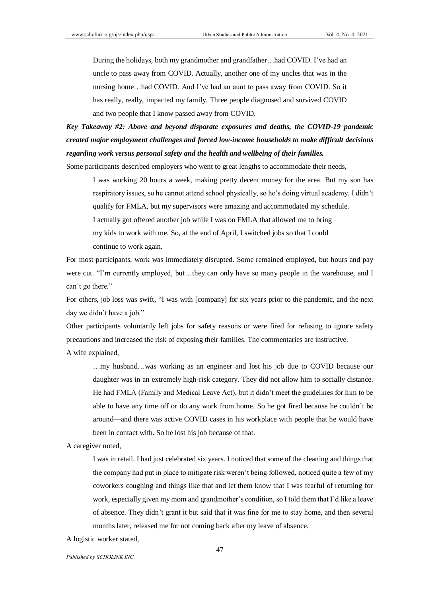During the holidays, both my grandmother and grandfather…had COVID. I've had an uncle to pass away from COVID. Actually, another one of my uncles that was in the nursing home…had COVID. And I've had an aunt to pass away from COVID. So it has really, really, impacted my family. Three people diagnosed and survived COVID and two people that I know passed away from COVID.

*Key Takeaway #2: Above and beyond disparate exposures and deaths, the COVID-19 pandemic created major employment challenges and forced low-income households to make difficult decisions regarding work versus personal safety and the health and wellbeing of their families.*

Some participants described employers who went to great lengths to accommodate their needs,

I was working 20 hours a week, making pretty decent money for the area. But my son has respiratory issues, so he cannot attend school physically, so he's doing virtual academy. I didn't qualify for FMLA, but my supervisors were amazing and accommodated my schedule. I actually got offered another job while I was on FMLA that allowed me to bring my kids to work with me. So, at the end of April, I switched jobs so that I could continue to work again.

For most participants, work was immediately disrupted. Some remained employed, but hours and pay were cut. "I'm currently employed, but…they can only have so many people in the warehouse, and I can't go there."

For others, job loss was swift, "I was with [company] for six years prior to the pandemic, and the next day we didn't have a job."

Other participants voluntarily left jobs for safety reasons or were fired for refusing to ignore safety precautions and increased the risk of exposing their families. The commentaries are instructive.

A wife explained,

…my husband…was working as an engineer and lost his job due to COVID because our daughter was in an extremely high-risk category. They did not allow him to socially distance. He had FMLA (Family and Medical Leave Act), but it didn't meet the guidelines for him to be able to have any time off or do any work from home. So he got fired because he couldn't be around—and there was active COVID cases in his workplace with people that he would have been in contact with. So he lost his job because of that.

A caregiver noted,

I was in retail. I had just celebrated six years. I noticed that some of the cleaning and things that the company had put in place to mitigate risk weren't being followed, noticed quite a few of my coworkers coughing and things like that and let them know that I was fearful of returning for work, especially given my mom and grandmother's condition, so I told them that I'd like a leave of absence. They didn't grant it but said that it was fine for me to stay home, and then several months later, released me for not coming back after my leave of absence.

A logistic worker stated,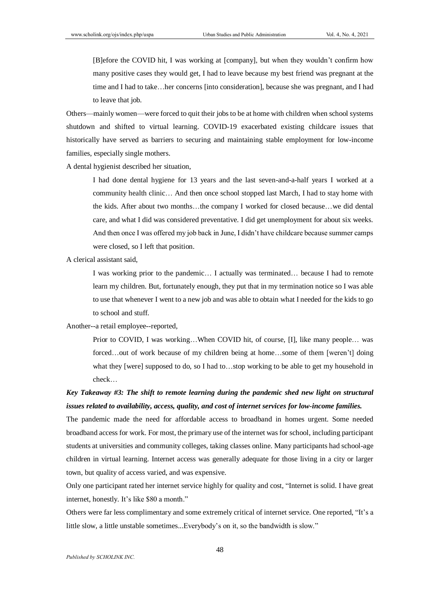[B]efore the COVID hit, I was working at [company], but when they wouldn't confirm how many positive cases they would get, I had to leave because my best friend was pregnant at the time and I had to take…her concerns [into consideration], because she was pregnant, and I had to leave that job.

Others—mainly women—were forced to quit their jobs to be at home with children when school systems shutdown and shifted to virtual learning. COVID-19 exacerbated existing childcare issues that historically have served as barriers to securing and maintaining stable employment for low-income families, especially single mothers.

A dental hygienist described her situation,

I had done dental hygiene for 13 years and the last seven-and-a-half years I worked at a community health clinic… And then once school stopped last March, I had to stay home with the kids. After about two months…the company I worked for closed because…we did dental care, and what I did was considered preventative. I did get unemployment for about six weeks. And then once I was offered my job back in June, I didn't have childcare because summer camps were closed, so I left that position.

A clerical assistant said,

I was working prior to the pandemic… I actually was terminated… because I had to remote learn my children. But, fortunately enough, they put that in my termination notice so I was able to use that whenever I went to a new job and was able to obtain what I needed for the kids to go to school and stuff.

Another--a retail employee--reported,

Prior to COVID, I was working…When COVID hit, of course, [I], like many people… was forced…out of work because of my children being at home…some of them [weren't] doing what they [were] supposed to do, so I had to…stop working to be able to get my household in check…

# *Key Takeaway #3: The shift to remote learning during the pandemic shed new light on structural issues related to availability, access, quality, and cost of internet services for low-income families.*

The pandemic made the need for affordable access to broadband in homes urgent. Some needed broadband access for work. For most, the primary use of the internet was for school, including participant students at universities and community colleges, taking classes online. Many participants had school-age children in virtual learning. Internet access was generally adequate for those living in a city or larger town, but quality of access varied, and was expensive.

Only one participant rated her internet service highly for quality and cost, "Internet is solid. I have great internet, honestly. It's like \$80 a month."

Others were far less complimentary and some extremely critical of internet service. One reported, "It's a little slow, a little unstable sometimes...Everybody's on it, so the bandwidth is slow."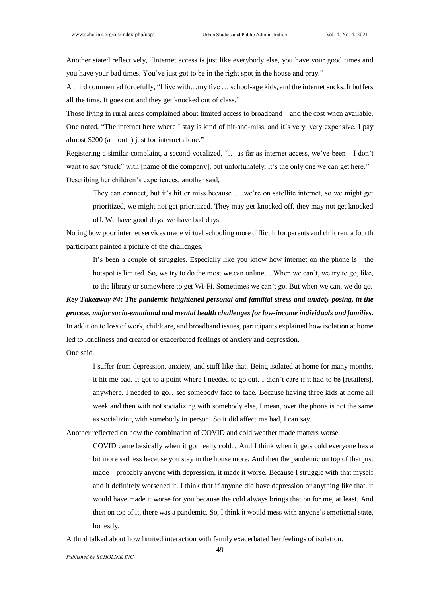Another stated reflectively, "Internet access is just like everybody else, you have your good times and you have your bad times. You've just got to be in the right spot in the house and pray."

A third commented forcefully, "I live with…my five … school-age kids, and the internet sucks. It buffers all the time. It goes out and they get knocked out of class."

Those living in rural areas complained about limited access to broadband—and the cost when available. One noted, "The internet here where I stay is kind of hit-and-miss, and it's very, very expensive. I pay almost \$200 (a month) just for internet alone."

Registering a similar complaint, a second vocalized, "… as far as internet access, we've been—I don't want to say "stuck" with [name of the company], but unfortunately, it's the only one we can get here." Describing her children's experiences, another said,

They can connect, but it's hit or miss because … we're on satellite internet, so we might get prioritized, we might not get prioritized. They may get knocked off, they may not get knocked off. We have good days, we have bad days.

Noting how poor internet services made virtual schooling more difficult for parents and children, a fourth participant painted a picture of the challenges.

It's been a couple of struggles. Especially like you know how internet on the phone is—the hotspot is limited. So, we try to do the most we can online... When we can't, we try to go, like, to the library or somewhere to get Wi-Fi. Sometimes we can't go. But when we can, we do go.

# *Key Takeaway #4: The pandemic heightened personal and familial stress and anxiety posing, in the process, major socio-emotional and mental health challenges for low-income individuals and families.*  In addition to loss of work, childcare, and broadband issues, participants explained how isolation at home

led to loneliness and created or exacerbated feelings of anxiety and depression.

One said,

I suffer from depression, anxiety, and stuff like that. Being isolated at home for many months, it hit me bad. It got to a point where I needed to go out. I didn't care if it had to be [retailers], anywhere. I needed to go…see somebody face to face. Because having three kids at home all week and then with not socializing with somebody else, I mean, over the phone is not the same as socializing with somebody in person. So it did affect me bad, I can say.

Another reflected on how the combination of COVID and cold weather made matters worse.

COVID came basically when it got really cold…And I think when it gets cold everyone has a bit more sadness because you stay in the house more. And then the pandemic on top of that just made—probably anyone with depression, it made it worse. Because I struggle with that myself and it definitely worsened it. I think that if anyone did have depression or anything like that, it would have made it worse for you because the cold always brings that on for me, at least. And then on top of it, there was a pandemic. So, I think it would mess with anyone's emotional state, honestly.

A third talked about how limited interaction with family exacerbated her feelings of isolation.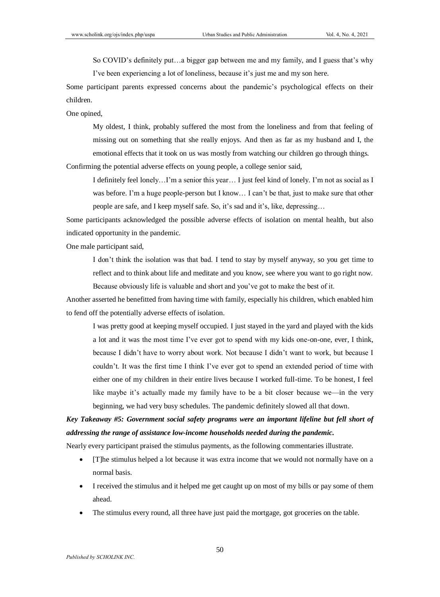So COVID's definitely put…a bigger gap between me and my family, and I guess that's why I've been experiencing a lot of loneliness, because it's just me and my son here.

Some participant parents expressed concerns about the pandemic's psychological effects on their children.

One opined,

My oldest, I think, probably suffered the most from the loneliness and from that feeling of missing out on something that she really enjoys. And then as far as my husband and I, the emotional effects that it took on us was mostly from watching our children go through things.

Confirming the potential adverse effects on young people, a college senior said,

I definitely feel lonely…I'm a senior this year… I just feel kind of lonely. I'm not as social as I was before. I'm a huge people-person but I know... I can't be that, just to make sure that other people are safe, and I keep myself safe. So, it's sad and it's, like, depressing…

Some participants acknowledged the possible adverse effects of isolation on mental health, but also indicated opportunity in the pandemic.

One male participant said,

I don't think the isolation was that bad. I tend to stay by myself anyway, so you get time to reflect and to think about life and meditate and you know, see where you want to go right now. Because obviously life is valuable and short and you've got to make the best of it.

Another asserted he benefitted from having time with family, especially his children, which enabled him to fend off the potentially adverse effects of isolation.

I was pretty good at keeping myself occupied. I just stayed in the yard and played with the kids a lot and it was the most time I've ever got to spend with my kids one-on-one, ever, I think, because I didn't have to worry about work. Not because I didn't want to work, but because I couldn't. It was the first time I think I've ever got to spend an extended period of time with either one of my children in their entire lives because I worked full-time. To be honest, I feel like maybe it's actually made my family have to be a bit closer because we—in the very beginning, we had very busy schedules. The pandemic definitely slowed all that down.

# *Key Takeaway #5: Government social safety programs were an important lifeline but fell short of addressing the range of assistance low-income households needed during the pandemic.*

Nearly every participant praised the stimulus payments, as the following commentaries illustrate.

- [T]he stimulus helped a lot because it was extra income that we would not normally have on a normal basis.
- I received the stimulus and it helped me get caught up on most of my bills or pay some of them ahead.
- The stimulus every round, all three have just paid the mortgage, got groceries on the table.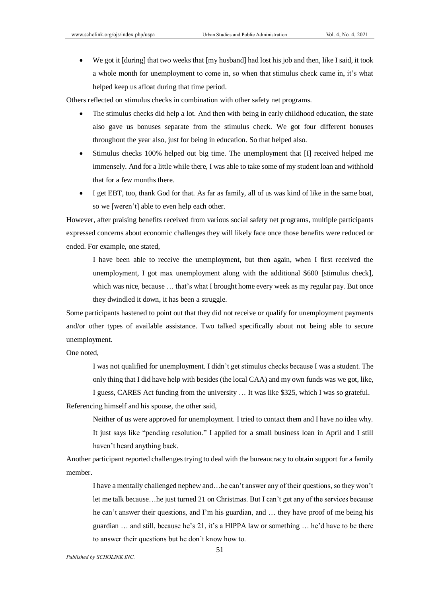We got it [during] that two weeks that [my husband] had lost his job and then, like I said, it took a whole month for unemployment to come in, so when that stimulus check came in, it's what helped keep us afloat during that time period.

Others reflected on stimulus checks in combination with other safety net programs.

- The stimulus checks did help a lot. And then with being in early childhood education, the state also gave us bonuses separate from the stimulus check. We got four different bonuses throughout the year also, just for being in education. So that helped also.
- Stimulus checks 100% helped out big time. The unemployment that [I] received helped me immensely. And for a little while there, I was able to take some of my student loan and withhold that for a few months there.
- I get EBT, too, thank God for that. As far as family, all of us was kind of like in the same boat, so we [weren't] able to even help each other.

However, after praising benefits received from various social safety net programs, multiple participants expressed concerns about economic challenges they will likely face once those benefits were reduced or ended. For example, one stated,

I have been able to receive the unemployment, but then again, when I first received the unemployment, I got max unemployment along with the additional \$600 [stimulus check], which was nice, because ... that's what I brought home every week as my regular pay. But once they dwindled it down, it has been a struggle.

Some participants hastened to point out that they did not receive or qualify for unemployment payments and/or other types of available assistance. Two talked specifically about not being able to secure unemployment.

One noted,

I was not qualified for unemployment. I didn't get stimulus checks because I was a student. The only thing that I did have help with besides (the local CAA) and my own funds was we got, like,

I guess, CARES Act funding from the university … It was like \$325, which I was so grateful. Referencing himself and his spouse, the other said,

Neither of us were approved for unemployment. I tried to contact them and I have no idea why. It just says like "pending resolution." I applied for a small business loan in April and I still haven't heard anything back.

Another participant reported challenges trying to deal with the bureaucracy to obtain support for a family member.

I have a mentally challenged nephew and…he can't answer any of their questions, so they won't let me talk because…he just turned 21 on Christmas. But I can't get any of the services because he can't answer their questions, and I'm his guardian, and … they have proof of me being his guardian … and still, because he's 21, it's a HIPPA law or something … he'd have to be there to answer their questions but he don't know how to.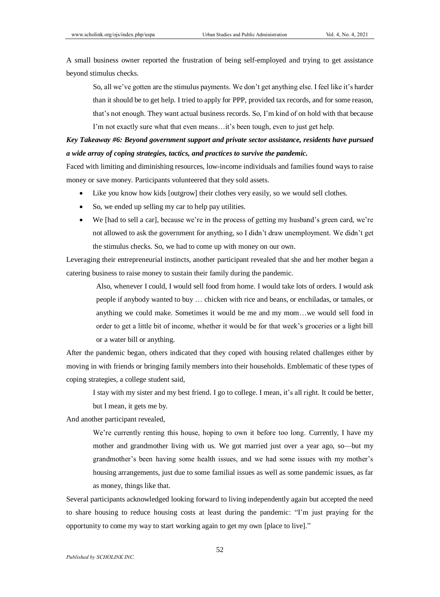A small business owner reported the frustration of being self-employed and trying to get assistance beyond stimulus checks.

So, all we've gotten are the stimulus payments. We don't get anything else. I feel like it's harder than it should be to get help. I tried to apply for PPP, provided tax records, and for some reason, that's not enough. They want actual business records. So, I'm kind of on hold with that because I'm not exactly sure what that even means…it's been tough, even to just get help.

## *Key Takeaway #6: Beyond government support and private sector assistance, residents have pursued a wide array of coping strategies, tactics, and practices to survive the pandemic.*

Faced with limiting and diminishing resources, low-income individuals and families found ways to raise money or save money. Participants volunteered that they sold assets.

- Like you know how kids [outgrow] their clothes very easily, so we would sell clothes.
- So, we ended up selling my car to help pay utilities.
- We [had to sell a car], because we're in the process of getting my husband's green card, we're not allowed to ask the government for anything, so I didn't draw unemployment. We didn't get the stimulus checks. So, we had to come up with money on our own.

Leveraging their entrepreneurial instincts, another participant revealed that she and her mother began a catering business to raise money to sustain their family during the pandemic.

Also, whenever I could, I would sell food from home. I would take lots of orders. I would ask people if anybody wanted to buy … chicken with rice and beans, or enchiladas, or tamales, or anything we could make. Sometimes it would be me and my mom…we would sell food in order to get a little bit of income, whether it would be for that week's groceries or a light bill or a water bill or anything.

After the pandemic began, others indicated that they coped with housing related challenges either by moving in with friends or bringing family members into their households. Emblematic of these types of coping strategies, a college student said,

I stay with my sister and my best friend. I go to college. I mean, it's all right. It could be better, but I mean, it gets me by.

And another participant revealed,

We're currently renting this house, hoping to own it before too long. Currently, I have my mother and grandmother living with us. We got married just over a year ago, so—but my grandmother's been having some health issues, and we had some issues with my mother's housing arrangements, just due to some familial issues as well as some pandemic issues, as far as money, things like that.

Several participants acknowledged looking forward to living independently again but accepted the need to share housing to reduce housing costs at least during the pandemic: "I'm just praying for the opportunity to come my way to start working again to get my own [place to live]."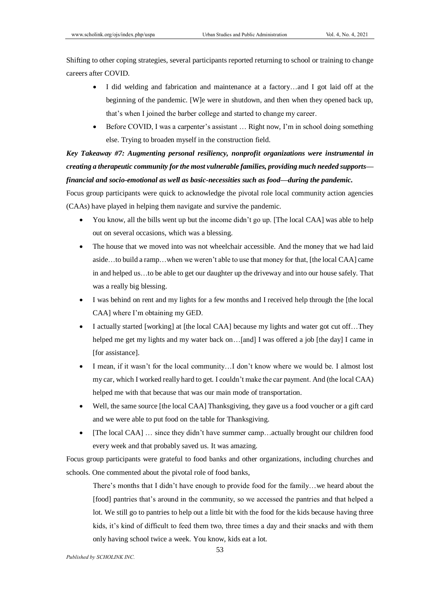Shifting to other coping strategies, several participants reported returning to school or training to change careers after COVID.

- I did welding and fabrication and maintenance at a factory…and I got laid off at the beginning of the pandemic. [W]e were in shutdown, and then when they opened back up, that's when I joined the barber college and started to change my career.
- Before COVID, I was a carpenter's assistant … Right now, I'm in school doing something else. Trying to broaden myself in the construction field.

*Key Takeaway #7: Augmenting personal resiliency, nonprofit organizations were instrumental in creating a therapeutic community for the most vulnerable families, providing much needed supports financial and socio-emotional as well as basic-necessities such as food—during the pandemic.*

Focus group participants were quick to acknowledge the pivotal role local community action agencies (CAAs) have played in helping them navigate and survive the pandemic.

- You know, all the bills went up but the income didn't go up. [The local CAA] was able to help out on several occasions, which was a blessing.
- The house that we moved into was not wheelchair accessible. And the money that we had laid aside…to build a ramp…when we weren't able to use that money for that, [the local CAA] came in and helped us…to be able to get our daughter up the driveway and into our house safely. That was a really big blessing.
- I was behind on rent and my lights for a few months and I received help through the [the local CAA] where I'm obtaining my GED.
- I actually started [working] at [the local CAA] because my lights and water got cut off…They helped me get my lights and my water back on...[and] I was offered a job [the day] I came in [for assistance].
- I mean, if it wasn't for the local community…I don't know where we would be. I almost lost my car, which I worked really hard to get. I couldn't make the car payment. And (the local CAA) helped me with that because that was our main mode of transportation.
- Well, the same source [the local CAA] Thanksgiving, they gave us a food voucher or a gift card and we were able to put food on the table for Thanksgiving.
- [The local CAA] ... since they didn't have summer camp...actually brought our children food every week and that probably saved us. It was amazing.

Focus group participants were grateful to food banks and other organizations, including churches and schools. One commented about the pivotal role of food banks,

There's months that I didn't have enough to provide food for the family…we heard about the [food] pantries that's around in the community, so we accessed the pantries and that helped a lot. We still go to pantries to help out a little bit with the food for the kids because having three kids, it's kind of difficult to feed them two, three times a day and their snacks and with them only having school twice a week. You know, kids eat a lot.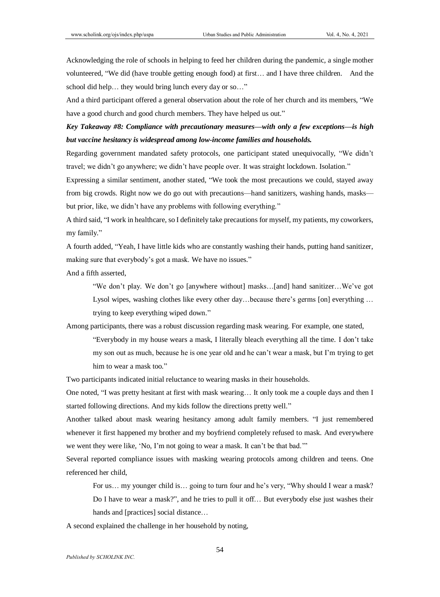Acknowledging the role of schools in helping to feed her children during the pandemic, a single mother volunteered, "We did (have trouble getting enough food) at first… and I have three children. And the school did help… they would bring lunch every day or so…"

And a third participant offered a general observation about the role of her church and its members, "We have a good church and good church members. They have helped us out."

*Key Takeaway #8: Compliance with precautionary measures—with only a few exceptions—is high but vaccine hesitancy is widespread among low-income families and households.* 

Regarding government mandated safety protocols, one participant stated unequivocally, "We didn't travel; we didn't go anywhere; we didn't have people over. It was straight lockdown. Isolation."

Expressing a similar sentiment, another stated, "We took the most precautions we could, stayed away from big crowds. Right now we do go out with precautions—hand sanitizers, washing hands, masks but prior, like, we didn't have any problems with following everything."

A third said, "I work in healthcare, so I definitely take precautions for myself, my patients, my coworkers, my family."

A fourth added, "Yeah, I have little kids who are constantly washing their hands, putting hand sanitizer, making sure that everybody's got a mask. We have no issues."

And a fifth asserted,

"We don't play. We don't go [anywhere without] masks…[and] hand sanitizer…We've got Lysol wipes, washing clothes like every other day…because there's germs [on] everything … trying to keep everything wiped down."

Among participants, there was a robust discussion regarding mask wearing. For example, one stated,

"Everybody in my house wears a mask, I literally bleach everything all the time. I don't take my son out as much, because he is one year old and he can't wear a mask, but I'm trying to get him to wear a mask too."

Two participants indicated initial reluctance to wearing masks in their households.

One noted, "I was pretty hesitant at first with mask wearing… It only took me a couple days and then I started following directions. And my kids follow the directions pretty well."

Another talked about mask wearing hesitancy among adult family members. "I just remembered whenever it first happened my brother and my boyfriend completely refused to mask. And everywhere we went they were like, 'No, I'm not going to wear a mask. It can't be that bad.'"

Several reported compliance issues with masking wearing protocols among children and teens. One referenced her child,

For us… my younger child is… going to turn four and he's very, "Why should I wear a mask?

Do I have to wear a mask?", and he tries to pull it off… But everybody else just washes their hands and [practices] social distance…

A second explained the challenge in her household by noting,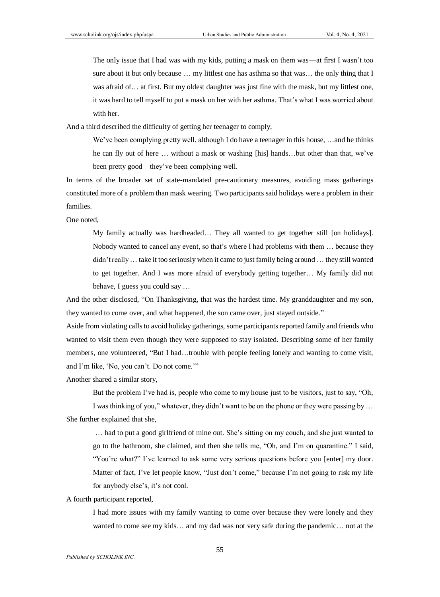The only issue that I had was with my kids, putting a mask on them was—at first I wasn't too sure about it but only because ... my littlest one has asthma so that was... the only thing that I was afraid of… at first. But my oldest daughter was just fine with the mask, but my littlest one, it was hard to tell myself to put a mask on her with her asthma. That's what I was worried about with her.

And a third described the difficulty of getting her teenager to comply,

We've been complying pretty well, although I do have a teenager in this house, ... and he thinks he can fly out of here ... without a mask or washing [his] hands...but other than that, we've been pretty good—they've been complying well.

In terms of the broader set of state-mandated pre-cautionary measures, avoiding mass gatherings constituted more of a problem than mask wearing. Two participants said holidays were a problem in their families.

One noted,

My family actually was hardheaded… They all wanted to get together still [on holidays]. Nobody wanted to cancel any event, so that's where I had problems with them … because they didn't really… take it too seriously when it came to just family being around … they still wanted to get together. And I was more afraid of everybody getting together… My family did not behave, I guess you could say …

And the other disclosed, "On Thanksgiving, that was the hardest time. My granddaughter and my son, they wanted to come over, and what happened, the son came over, just stayed outside."

Aside from violating calls to avoid holiday gatherings, some participants reported family and friends who wanted to visit them even though they were supposed to stay isolated. Describing some of her family members, one volunteered, "But I had…trouble with people feeling lonely and wanting to come visit, and I'm like, 'No, you can't. Do not come.'"

Another shared a similar story,

But the problem I've had is, people who come to my house just to be visitors, just to say, "Oh,

I was thinking of you," whatever, they didn't want to be on the phone or they were passing by … She further explained that she,

… had to put a good girlfriend of mine out. She's sitting on my couch, and she just wanted to go to the bathroom, she claimed, and then she tells me, "Oh, and I'm on quarantine." I said, "You're what?" I've learned to ask some very serious questions before you [enter] my door. Matter of fact, I've let people know, "Just don't come," because I'm not going to risk my life for anybody else's, it's not cool.

A fourth participant reported,

I had more issues with my family wanting to come over because they were lonely and they wanted to come see my kids… and my dad was not very safe during the pandemic… not at the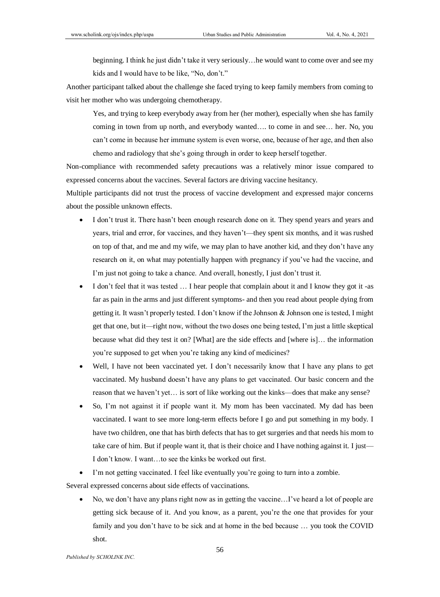beginning. I think he just didn't take it very seriously…he would want to come over and see my kids and I would have to be like, "No, don't."

Another participant talked about the challenge she faced trying to keep family members from coming to visit her mother who was undergoing chemotherapy.

Yes, and trying to keep everybody away from her (her mother), especially when she has family coming in town from up north, and everybody wanted…. to come in and see… her. No, you can't come in because her immune system is even worse, one, because of her age, and then also chemo and radiology that she's going through in order to keep herself together.

Non-compliance with recommended safety precautions was a relatively minor issue compared to expressed concerns about the vaccines. Several factors are driving vaccine hesitancy.

Multiple participants did not trust the process of vaccine development and expressed major concerns about the possible unknown effects.

- I don't trust it. There hasn't been enough research done on it. They spend years and years and years, trial and error, for vaccines, and they haven't—they spent six months, and it was rushed on top of that, and me and my wife, we may plan to have another kid, and they don't have any research on it, on what may potentially happen with pregnancy if you've had the vaccine, and I'm just not going to take a chance. And overall, honestly, I just don't trust it.
- I don't feel that it was tested … I hear people that complain about it and I know they got it -as far as pain in the arms and just different symptoms- and then you read about people dying from getting it. It wasn't properly tested. I don't know if the Johnson & Johnson one is tested, I might get that one, but it—right now, without the two doses one being tested, I'm just a little skeptical because what did they test it on? [What] are the side effects and [where is]… the information you're supposed to get when you're taking any kind of medicines?
- Well, I have not been vaccinated yet. I don't necessarily know that I have any plans to get vaccinated. My husband doesn't have any plans to get vaccinated. Our basic concern and the reason that we haven't yet… is sort of like working out the kinks—does that make any sense?
- So, I'm not against it if people want it. My mom has been vaccinated. My dad has been vaccinated. I want to see more long-term effects before I go and put something in my body. I have two children, one that has birth defects that has to get surgeries and that needs his mom to take care of him. But if people want it, that is their choice and I have nothing against it. I just— I don't know. I want…to see the kinks be worked out first.
- I'm not getting vaccinated. I feel like eventually you're going to turn into a zombie.

Several expressed concerns about side effects of vaccinations.

 No, we don't have any plans right now as in getting the vaccine…I've heard a lot of people are getting sick because of it. And you know, as a parent, you're the one that provides for your family and you don't have to be sick and at home in the bed because … you took the COVID shot.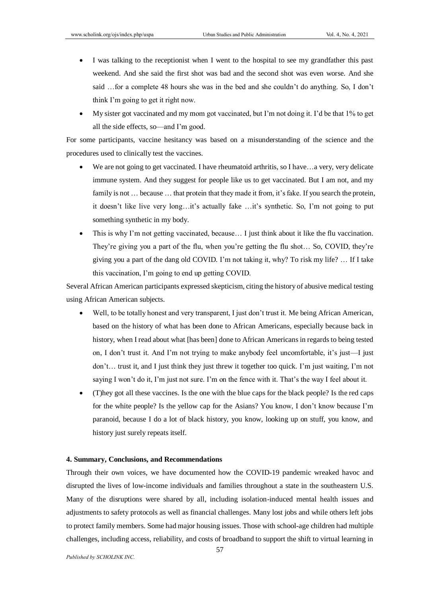- I was talking to the receptionist when I went to the hospital to see my grandfather this past weekend. And she said the first shot was bad and the second shot was even worse. And she said …for a complete 48 hours she was in the bed and she couldn't do anything. So, I don't think I'm going to get it right now.
- My sister got vaccinated and my mom got vaccinated, but I'm not doing it. I'd be that 1% to get all the side effects, so—and I'm good.

For some participants, vaccine hesitancy was based on a misunderstanding of the science and the procedures used to clinically test the vaccines.

- We are not going to get vaccinated. I have rheumatoid arthritis, so I have...a very, very delicate immune system. And they suggest for people like us to get vaccinated. But I am not, and my family is not ... because ... that protein that they made it from, it's fake. If you search the protein, it doesn't like live very long…it's actually fake …it's synthetic. So, I'm not going to put something synthetic in my body.
- This is why I'm not getting vaccinated, because… I just think about it like the flu vaccination. They're giving you a part of the flu, when you're getting the flu shot… So, COVID, they're giving you a part of the dang old COVID. I'm not taking it, why? To risk my life? … If I take this vaccination, I'm going to end up getting COVID.

Several African American participants expressed skepticism, citing the history of abusive medical testing using African American subjects.

- Well, to be totally honest and very transparent, I just don't trust it. Me being African American, based on the history of what has been done to African Americans, especially because back in history, when I read about what [has been] done to African Americans in regards to being tested on, I don't trust it. And I'm not trying to make anybody feel uncomfortable, it's just—I just don't… trust it, and I just think they just threw it together too quick. I'm just waiting, I'm not saying I won't do it, I'm just not sure. I'm on the fence with it. That's the way I feel about it.
- (T)hey got all these vaccines. Is the one with the blue caps for the black people? Is the red caps for the white people? Is the yellow cap for the Asians? You know, I don't know because I'm paranoid, because I do a lot of black history, you know, looking up on stuff, you know, and history just surely repeats itself.

#### **4. Summary, Conclusions, and Recommendations**

Through their own voices, we have documented how the COVID-19 pandemic wreaked havoc and disrupted the lives of low-income individuals and families throughout a state in the southeastern U.S. Many of the disruptions were shared by all, including isolation-induced mental health issues and adjustments to safety protocols as well as financial challenges. Many lost jobs and while others left jobs to protect family members. Some had major housing issues. Those with school-age children had multiple challenges, including access, reliability, and costs of broadband to support the shift to virtual learning in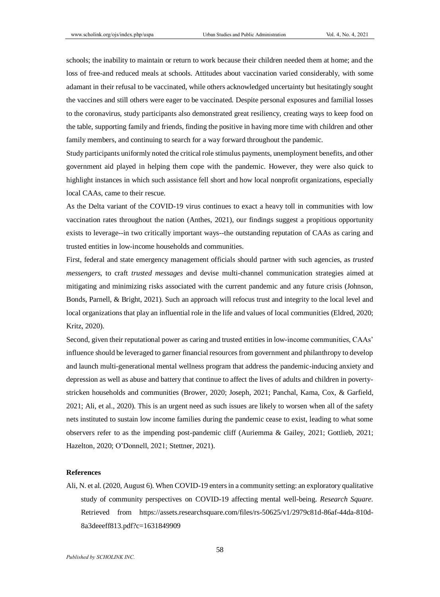schools; the inability to maintain or return to work because their children needed them at home; and the loss of free-and reduced meals at schools. Attitudes about vaccination varied considerably, with some adamant in their refusal to be vaccinated, while others acknowledged uncertainty but hesitatingly sought the vaccines and still others were eager to be vaccinated. Despite personal exposures and familial losses to the coronavirus, study participants also demonstrated great resiliency, creating ways to keep food on the table, supporting family and friends, finding the positive in having more time with children and other family members, and continuing to search for a way forward throughout the pandemic.

Study participants uniformly noted the critical role stimulus payments, unemployment benefits, and other government aid played in helping them cope with the pandemic. However, they were also quick to highlight instances in which such assistance fell short and how local nonprofit organizations, especially local CAAs, came to their rescue.

As the Delta variant of the COVID-19 virus continues to exact a heavy toll in communities with low vaccination rates throughout the nation (Anthes, 2021), our findings suggest a propitious opportunity exists to leverage--in two critically important ways--the outstanding reputation of CAAs as caring and trusted entities in low-income households and communities.

First, federal and state emergency management officials should partner with such agencies, as *trusted messengers,* to craft *trusted messages* and devise multi-channel communication strategies aimed at mitigating and minimizing risks associated with the current pandemic and any future crisis (Johnson, Bonds, Parnell, & Bright, 2021). Such an approach will refocus trust and integrity to the local level and local organizations that play an influential role in the life and values of local communities (Eldred, 2020; Kritz, 2020).

Second, given their reputational power as caring and trusted entities in low-income communities, CAAs' influence should be leveraged to garner financial resources from government and philanthropy to develop and launch multi-generational mental wellness program that address the pandemic-inducing anxiety and depression as well as abuse and battery that continue to affect the lives of adults and children in povertystricken households and communities (Brower, 2020; Joseph, 2021; Panchal, Kama, Cox, & Garfield, 2021; Ali, et al., 2020). This is an urgent need as such issues are likely to worsen when all of the safety nets instituted to sustain low income families during the pandemic cease to exist, leading to what some observers refer to as the impending post-pandemic cliff (Auriemma & Gailey, 2021; Gottlieb, 2021; Hazelton, 2020; O'Donnell, 2021; Stettner, 2021).

#### **References**

Ali, N. et al. (2020, August 6). When COVID-19 enters in a community setting: an exploratory qualitative study of community perspectives on COVID-19 affecting mental well-being. *Research Square.* Retrieved from [https://assets.researchsquare.com/files/rs-50625/v1/2979c81d-86af-44da-810d-](https://assets.researchsquare.com/files/rs-50625/v1/2979c81d-86af-44da-810d-8a3deeeff813.pdf?c=1631849909)[8a3deeeff813.pdf?c=1631849909](https://assets.researchsquare.com/files/rs-50625/v1/2979c81d-86af-44da-810d-8a3deeeff813.pdf?c=1631849909)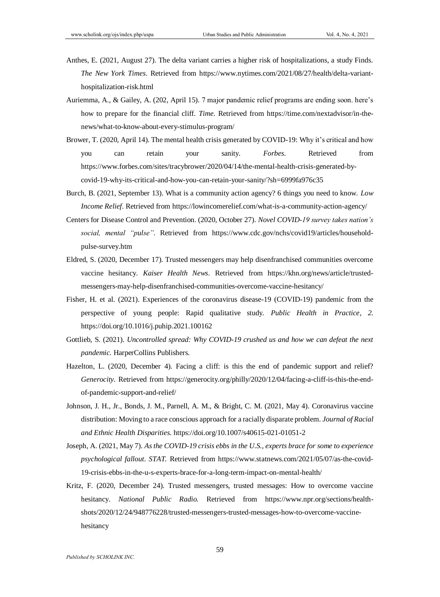- Anthes, E. (2021, August 27). The delta variant carries a higher risk of hospitalizations, a study Finds. *The New York Times*. Retrieved from [https://www.nytimes.com/2021/08/27/health/delta-variant](https://www.nytimes.com/2021/08/27/health/delta-variant-hospitalization-risk.html)[hospitalization-risk.html](https://www.nytimes.com/2021/08/27/health/delta-variant-hospitalization-risk.html)
- Auriemma, A., & Gailey, A. (202, April 15). 7 major pandemic relief programs are ending soon. here's how to prepare for the financial cliff. *Time*. Retrieved from [https://time.com/nextadvisor/in-the](https://time.com/nextadvisor/in-the-news/what-to-know-about-every-stimulus-program/)[news/what-to-know-about-every-stimulus-program/](https://time.com/nextadvisor/in-the-news/what-to-know-about-every-stimulus-program/)
- Brower, T. (2020, April 14). The mental health crisis generated by COVID-19: Why it's critical and how you can retain your sanity. *Forbes.* Retrieved from [https://www.forbes.com/sites/tracybrower/2020/04/14/the-mental-health-crisis-generated-by](https://www.forbes.com/sites/tracybrower/2020/04/14/the-mental-health-crisis-generated-by-covid-19-why-its-critical-and-how-you-can-retain-your-sanity/?sh=6999fa976c35)[covid-19-why-its-critical-and-how-you-can-retain-your-sanity/?sh=6999fa976c35](https://www.forbes.com/sites/tracybrower/2020/04/14/the-mental-health-crisis-generated-by-covid-19-why-its-critical-and-how-you-can-retain-your-sanity/?sh=6999fa976c35)
- Burch, B. (2021, September 13). What is a community action agency? 6 things you need to know. *Low Income Relief*. Retrieved from<https://lowincomerelief.com/what-is-a-community-action-agency/>
- Centers for Disease Control and Prevention. (2020, October 27). *Novel COVID-19 survey takes nation's social, mental "pulse"*. Retrieved from [https://www.cdc.gov/nchs/covid19/articles/household](https://www.cdc.gov/nchs/covid19/articles/household-pulse-survey.htm)[pulse-survey.htm](https://www.cdc.gov/nchs/covid19/articles/household-pulse-survey.htm)
- Eldred, S. (2020, December 17). Trusted messengers may help disenfranchised communities overcome vaccine hesitancy. *Kaiser Health News*. Retrieved from [https://khn.org/news/article/trusted](https://khn.org/news/article/trusted-messengers-may-help-disenfranchised-communities-overcome-vaccine-hesitancy/)[messengers-may-help-disenfranchised-communities-overcome-vaccine-hesitancy/](https://khn.org/news/article/trusted-messengers-may-help-disenfranchised-communities-overcome-vaccine-hesitancy/)
- Fisher, H. et al. (2021). Experiences of the coronavirus disease-19 (COVID-19) pandemic from the perspective of young people: Rapid qualitative study*. Public Health in Practice*, *2*. <https://doi.org/10.1016/j.puhip.2021.100162>
- Gottlieb, S. (2021). *Uncontrolled spread: Why COVID-19 crushed us and how we can defeat the next pandemic.* HarperCollins Publishers.
- Hazelton, L. (2020, December 4). Facing a cliff: is this the end of pandemic support and relief? *Generocity.* Retrieved from [https://generocity.org/philly/2020/12/04/facing-a-cliff-is-this-the-end](https://generocity.org/philly/2020/12/04/facing-a-cliff-is-this-the-end-of-pandemic-support-and-relief/)[of-pandemic-support-and-relief/](https://generocity.org/philly/2020/12/04/facing-a-cliff-is-this-the-end-of-pandemic-support-and-relief/)
- Johnson, J. H., Jr., Bonds, J. M., Parnell, A. M., & Bright, C. M. (2021, May 4). Coronavirus vaccine distribution: Moving to a race conscious approach for a racially disparate problem. *Journal of Racial and Ethnic Health Disparities*. <https://doi.org/10.1007/s40615-021-01051-2>
- Joseph, A. (2021, May 7). *As the COVID-19 crisis ebbs in the U.S., experts brace for some to experience psychological fallout*. *STAT.* Retrieved from [https://www.statnews.com/2021/05/07/as-the-covid-](https://www.statnews.com/2021/05/07/as-the-covid-19-crisis-ebbs-in-the-u-s-experts-brace-for-a-long-term-impact-on-mental-health/)[19-crisis-ebbs-in-the-u-s-experts-brace-for-a-long-term-impact-on-mental-health/](https://www.statnews.com/2021/05/07/as-the-covid-19-crisis-ebbs-in-the-u-s-experts-brace-for-a-long-term-impact-on-mental-health/)
- Kritz, F. (2020, December 24). Trusted messengers, trusted messages: How to overcome vaccine hesitancy. *National Public Radio.* Retrieved from [https://www.npr.org/sections/health](https://www.npr.org/sections/health-shots/2020/12/24/948776228/trusted-messengers-trusted-messages-how-to-overcome-vaccine-hesitancy)[shots/2020/12/24/948776228/trusted-messengers-trusted-messages-how-to-overcome-vaccine](https://www.npr.org/sections/health-shots/2020/12/24/948776228/trusted-messengers-trusted-messages-how-to-overcome-vaccine-hesitancy)[hesitancy](https://www.npr.org/sections/health-shots/2020/12/24/948776228/trusted-messengers-trusted-messages-how-to-overcome-vaccine-hesitancy)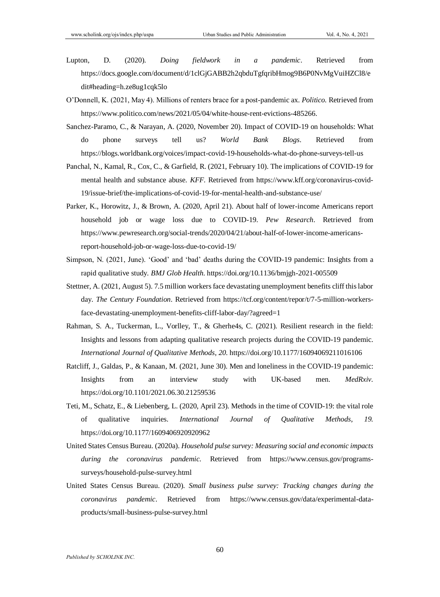- Lupton, D. (2020). *Doing fieldwork in a pandemic*. Retrieved from [https://docs.google.com/document/d/1clGjGABB2h2qbduTgfqribHmog9B6P0NvMgVuiHZCl8/e](https://docs.google.com/document/d/1clGjGABB2h2qbduTgfqribHmog9B6P0NvMgVuiHZCl8/edit#heading=h.ze8ug1cqk5lo) [dit#heading=h.ze8ug1cqk5lo](https://docs.google.com/document/d/1clGjGABB2h2qbduTgfqribHmog9B6P0NvMgVuiHZCl8/edit#heading=h.ze8ug1cqk5lo)
- O'Donnell, K. (2021, May 4). Millions of renters brace for a post-pandemic ax. *Politico.* Retrieved from [https://www.politico.com/news/2021/05/04/white-house-rent-evictions-485266.](https://www.politico.com/news/2021/05/04/white-house-rent-evictions-485266)
- Sanchez-Paramo, C., & Narayan, A. (2020, November 20). Impact of COVID-19 on households: What do phone surveys tell us? *World Bank Blogs*. Retrieved from <https://blogs.worldbank.org/voices/impact-covid-19-households-what-do-phone-surveys-tell-us>
- Panchal, N., Kamal, R., Cox, C., & Garfield, R. (2021, February 10). The implications of COVID-19 for mental health and substance abuse. *KFF.* Retrieved from [https://www.kff.org/coronavirus-covid-](https://www.kff.org/coronavirus-covid-19/issue-brief/the-implications-of-covid-19-for-mental-health-and-substance-use/)[19/issue-brief/the-implications-of-covid-19-for-mental-health-and-substance-use/](https://www.kff.org/coronavirus-covid-19/issue-brief/the-implications-of-covid-19-for-mental-health-and-substance-use/)
- Parker, K., Horowitz, J., & Brown, A. (2020, April 21). About half of lower-income Americans report household job or wage loss due to COVID-19. *Pew Research*. Retrieved from [https://www.pewresearch.org/social-trends/2020/04/21/about-half-of-lower-income-americans](https://www.pewresearch.org/social-trends/2020/04/21/about-half-of-lower-income-americans-report-household-job-or-wage-loss-due-to-covid-19/)[report-household-job-or-wage-loss-due-to-covid-19/](https://www.pewresearch.org/social-trends/2020/04/21/about-half-of-lower-income-americans-report-household-job-or-wage-loss-due-to-covid-19/)
- Simpson, N. (2021, June). 'Good' and 'bad' deaths during the COVID-19 pandemic: Insights from a rapid qualitative study. *BMJ Glob Health*. <https://doi.org/10.1136/bmjgh-2021-005509>
- Stettner, A. (2021, August 5). 7.5 million workers face devastating unemployment benefits cliff this labor day. *The Century Foundation*. Retrieved from [https://tcf.org/content/repor/t/7-5-million-workers](https://tcf.org/content/repor/t/7-5-million-workers-face-devastating-unemployment-benefits-cliff-labor-day/?agreed=1)[face-devastating-unemployment-benefits-cliff-labor-day/?agreed=1](https://tcf.org/content/repor/t/7-5-million-workers-face-devastating-unemployment-benefits-cliff-labor-day/?agreed=1)
- Rahman, S. A., Tuckerman, L., Vorlley, T., & Gherhe4s, C. (2021). Resilient research in the field: Insights and lessons from adapting qualitative research projects during the COVID-19 pandemic. *International Journal of Qualitative Methods*, *20*. <https://doi.org/10.1177/16094069211016106>
- Ratcliff, J., Galdas, P., & Kanaan, M. (2021, June 30). Men and loneliness in the COVID-19 pandemic: Insights from an interview study with UK-based men. *MedRxiv.* <https://doi.org/10.1101/2021.06.30.21259536>
- Teti, M., Schatz, E., & Liebenberg, L. (2020, April 23). Methods in the time of COVID-19: the vital role of qualitative inquiries. *International Journal of Qualitative Methods*, *19.* <https://doi.org/10.1177/1609406920920962>
- United States Census Bureau. (2020a). *Household pulse survey: Measuring social and economic impacts during the coronavirus pandemic.* Retrieved from [https://www.census.gov/programs](https://www.census.gov/programs-surveys/household-pulse-survey.html)[surveys/household-pulse-survey.html](https://www.census.gov/programs-surveys/household-pulse-survey.html)
- United States Census Bureau. (2020). *Small business pulse survey: Tracking changes during the coronavirus pandemic*. Retrieved from [https://www.census.gov/data/experimental-data](https://www.census.gov/data/experimental-data-products/small-business-pulse-survey.html)[products/small-business-pulse-survey.html](https://www.census.gov/data/experimental-data-products/small-business-pulse-survey.html)